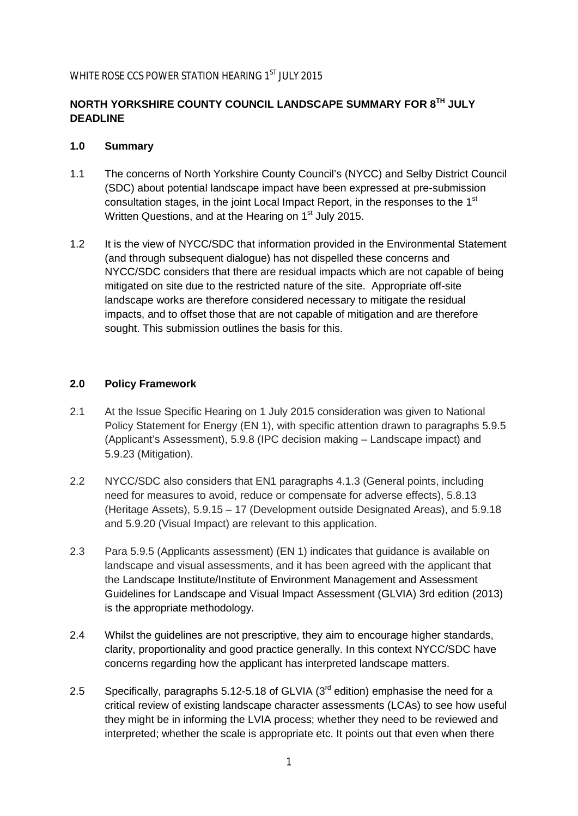## WHITE ROSE CCS POWER STATION HEARING 1<sup>ST</sup> JULY 2015

# **NORTH YORKSHIRE COUNTY COUNCIL LANDSCAPE SUMMARY FOR 8TH JULY DEADLINE**

#### **1.0 Summary**

- 1.1 The concerns of North Yorkshire County Council's (NYCC) and Selby District Council (SDC) about potential landscape impact have been expressed at pre-submission consultation stages, in the joint Local Impact Report, in the responses to the 1<sup>st</sup> Written Questions, and at the Hearing on 1<sup>st</sup> July 2015.
- 1.2 It is the view of NYCC/SDC that information provided in the Environmental Statement (and through subsequent dialogue) has not dispelled these concerns and NYCC/SDC considers that there are residual impacts which are not capable of being mitigated on site due to the restricted nature of the site. Appropriate off-site landscape works are therefore considered necessary to mitigate the residual impacts, and to offset those that are not capable of mitigation and are therefore sought. This submission outlines the basis for this.

#### **2.0 Policy Framework**

- 2.1 At the Issue Specific Hearing on 1 July 2015 consideration was given to National Policy Statement for Energy (EN 1), with specific attention drawn to paragraphs 5.9.5 (Applicant's Assessment), 5.9.8 (IPC decision making – Landscape impact) and 5.9.23 (Mitigation).
- 2.2 NYCC/SDC also considers that EN1 paragraphs 4.1.3 (General points, including need for measures to avoid, reduce or compensate for adverse effects), 5.8.13 (Heritage Assets), 5.9.15 – 17 (Development outside Designated Areas), and 5.9.18 and 5.9.20 (Visual Impact) are relevant to this application.
- 2.3 Para 5.9.5 (Applicants assessment) (EN 1) indicates that guidance is available on landscape and visual assessments, and it has been agreed with the applicant that the Landscape Institute/Institute of Environment Management and Assessment Guidelines for Landscape and Visual Impact Assessment (GLVIA) 3rd edition (2013) is the appropriate methodology.
- 2.4 Whilst the guidelines are not prescriptive, they aim to encourage higher standards, clarity, proportionality and good practice generally. In this context NYCC/SDC have concerns regarding how the applicant has interpreted landscape matters.
- 2.5 Specifically, paragraphs 5.12-5.18 of GLVIA  $(3<sup>rd</sup>$  edition) emphasise the need for a critical review of existing landscape character assessments (LCAs) to see how useful they might be in informing the LVIA process; whether they need to be reviewed and interpreted; whether the scale is appropriate etc. It points out that even when there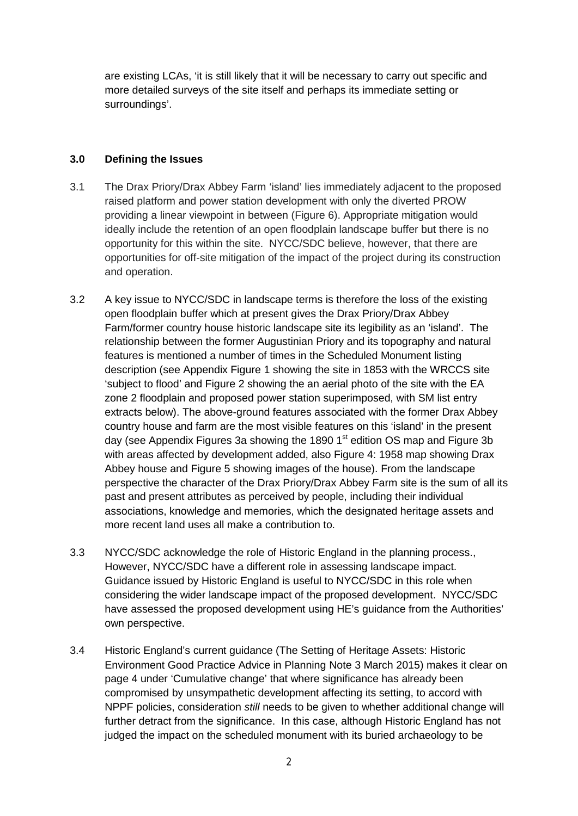are existing LCAs, 'it is still likely that it will be necessary to carry out specific and more detailed surveys of the site itself and perhaps its immediate setting or surroundings'.

#### **3.0 Defining the Issues**

- 3.1 The Drax Priory/Drax Abbey Farm 'island' lies immediately adjacent to the proposed raised platform and power station development with only the diverted PROW providing a linear viewpoint in between (Figure 6). Appropriate mitigation would ideally include the retention of an open floodplain landscape buffer but there is no opportunity for this within the site. NYCC/SDC believe, however, that there are opportunities for off-site mitigation of the impact of the project during its construction and operation.
- 3.2 A key issue to NYCC/SDC in landscape terms is therefore the loss of the existing open floodplain buffer which at present gives the Drax Priory/Drax Abbey Farm/former country house historic landscape site its legibility as an 'island'. The relationship between the former Augustinian Priory and its topography and natural features is mentioned a number of times in the Scheduled Monument listing description (see Appendix Figure 1 showing the site in 1853 with the WRCCS site 'subject to flood' and Figure 2 showing the an aerial photo of the site with the EA zone 2 floodplain and proposed power station superimposed, with SM list entry extracts below). The above-ground features associated with the former Drax Abbey country house and farm are the most visible features on this 'island' in the present day (see Appendix Figures 3a showing the 1890  $1<sup>st</sup>$  edition OS map and Figure 3b with areas affected by development added, also Figure 4: 1958 map showing Drax Abbey house and Figure 5 showing images of the house). From the landscape perspective the character of the Drax Priory/Drax Abbey Farm site is the sum of all its past and present attributes as perceived by people, including their individual associations, knowledge and memories, which the designated heritage assets and more recent land uses all make a contribution to.
- 3.3 NYCC/SDC acknowledge the role of Historic England in the planning process., However, NYCC/SDC have a different role in assessing landscape impact. Guidance issued by Historic England is useful to NYCC/SDC in this role when considering the wider landscape impact of the proposed development. NYCC/SDC have assessed the proposed development using HE's guidance from the Authorities' own perspective.
- 3.4 Historic England's current guidance (The Setting of Heritage Assets: Historic Environment Good Practice Advice in Planning Note 3 March 2015) makes it clear on page 4 under 'Cumulative change' that where significance has already been compromised by unsympathetic development affecting its setting, to accord with NPPF policies, consideration *still* needs to be given to whether additional change will further detract from the significance. In this case, although Historic England has not judged the impact on the scheduled monument with its buried archaeology to be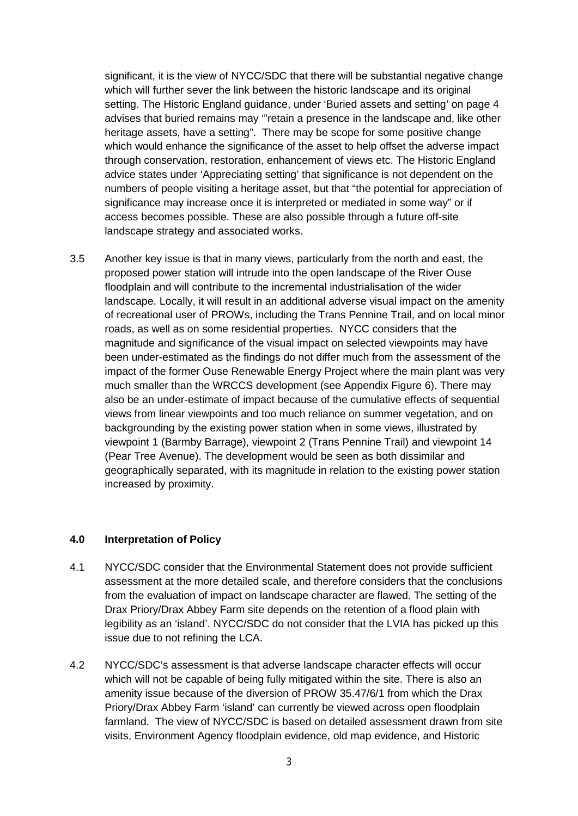significant, it is the view of NYCC/SDC that there will be substantial negative change which will further sever the link between the historic landscape and its original setting. The Historic England guidance, under 'Buried assets and setting' on page 4 advises that buried remains may '"retain a presence in the landscape and, like other heritage assets, have a setting". There may be scope for some positive change which would enhance the significance of the asset to help offset the adverse impact through conservation, restoration, enhancement of views etc. The Historic England advice states under 'Appreciating setting' that significance is not dependent on the numbers of people visiting a heritage asset, but that "the potential for appreciation of significance may increase once it is interpreted or mediated in some way" or if access becomes possible. These are also possible through a future off-site landscape strategy and associated works.

3.5 Another key issue is that in many views, particularly from the north and east, the proposed power station will intrude into the open landscape of the River Ouse floodplain and will contribute to the incremental industrialisation of the wider landscape. Locally, it will result in an additional adverse visual impact on the amenity of recreational user of PROWs, including the Trans Pennine Trail, and on local minor roads, as well as on some residential properties. NYCC considers that the magnitude and significance of the visual impact on selected viewpoints may have been under-estimated as the findings do not differ much from the assessment of the impact of the former Ouse Renewable Energy Project where the main plant was very much smaller than the WRCCS development (see Appendix Figure 6). There may also be an under-estimate of impact because of the cumulative effects of sequential views from linear viewpoints and too much reliance on summer vegetation, and on backgrounding by the existing power station when in some views, illustrated by viewpoint 1 (Barmby Barrage), viewpoint 2 (Trans Pennine Trail) and viewpoint 14 (Pear Tree Avenue). The development would be seen as both dissimilar and geographically separated, with its magnitude in relation to the existing power station increased by proximity.

#### **4.0 Interpretation of Policy**

- 4.1 NYCC/SDC consider that the Environmental Statement does not provide sufficient assessment at the more detailed scale, and therefore considers that the conclusions from the evaluation of impact on landscape character are flawed. The setting of the Drax Priory/Drax Abbey Farm site depends on the retention of a flood plain with legibility as an 'island'. NYCC/SDC do not consider that the LVIA has picked up this issue due to not refining the LCA.
- 4.2 NYCC/SDC's assessment is that adverse landscape character effects will occur which will not be capable of being fully mitigated within the site. There is also an amenity issue because of the diversion of PROW 35.47/6/1 from which the Drax Priory/Drax Abbey Farm 'island' can currently be viewed across open floodplain farmland. The view of NYCC/SDC is based on detailed assessment drawn from site visits, Environment Agency floodplain evidence, old map evidence, and Historic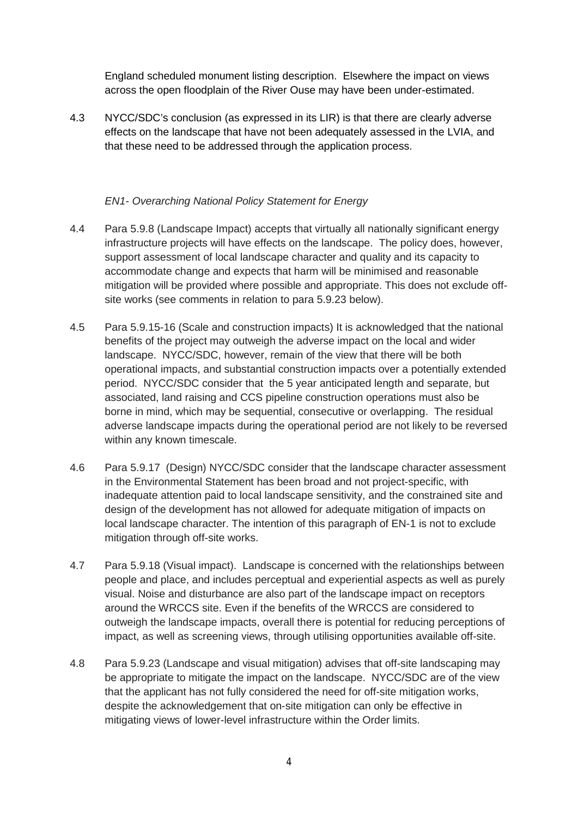England scheduled monument listing description. Elsewhere the impact on views across the open floodplain of the River Ouse may have been under-estimated.

4.3 NYCC/SDC's conclusion (as expressed in its LIR) is that there are clearly adverse effects on the landscape that have not been adequately assessed in the LVIA, and that these need to be addressed through the application process.

#### *EN1- Overarching National Policy Statement for Energy*

- 4.4 Para 5.9.8 (Landscape Impact) accepts that virtually all nationally significant energy infrastructure projects will have effects on the landscape. The policy does, however, support assessment of local landscape character and quality and its capacity to accommodate change and expects that harm will be minimised and reasonable mitigation will be provided where possible and appropriate. This does not exclude offsite works (see comments in relation to para 5.9.23 below).
- 4.5 Para 5.9.15-16 (Scale and construction impacts) It is acknowledged that the national benefits of the project may outweigh the adverse impact on the local and wider landscape. NYCC/SDC, however, remain of the view that there will be both operational impacts, and substantial construction impacts over a potentially extended period. NYCC/SDC consider that the 5 year anticipated length and separate, but associated, land raising and CCS pipeline construction operations must also be borne in mind, which may be sequential, consecutive or overlapping. The residual adverse landscape impacts during the operational period are not likely to be reversed within any known timescale.
- 4.6 Para 5.9.17 (Design) NYCC/SDC consider that the landscape character assessment in the Environmental Statement has been broad and not project-specific, with inadequate attention paid to local landscape sensitivity, and the constrained site and design of the development has not allowed for adequate mitigation of impacts on local landscape character. The intention of this paragraph of EN-1 is not to exclude mitigation through off-site works.
- 4.7 Para 5.9.18 (Visual impact). Landscape is concerned with the relationships between people and place, and includes perceptual and experiential aspects as well as purely visual. Noise and disturbance are also part of the landscape impact on receptors around the WRCCS site. Even if the benefits of the WRCCS are considered to outweigh the landscape impacts, overall there is potential for reducing perceptions of impact, as well as screening views, through utilising opportunities available off-site.
- 4.8 Para 5.9.23 (Landscape and visual mitigation) advises that off-site landscaping may be appropriate to mitigate the impact on the landscape. NYCC/SDC are of the view that the applicant has not fully considered the need for off-site mitigation works, despite the acknowledgement that on-site mitigation can only be effective in mitigating views of lower-level infrastructure within the Order limits.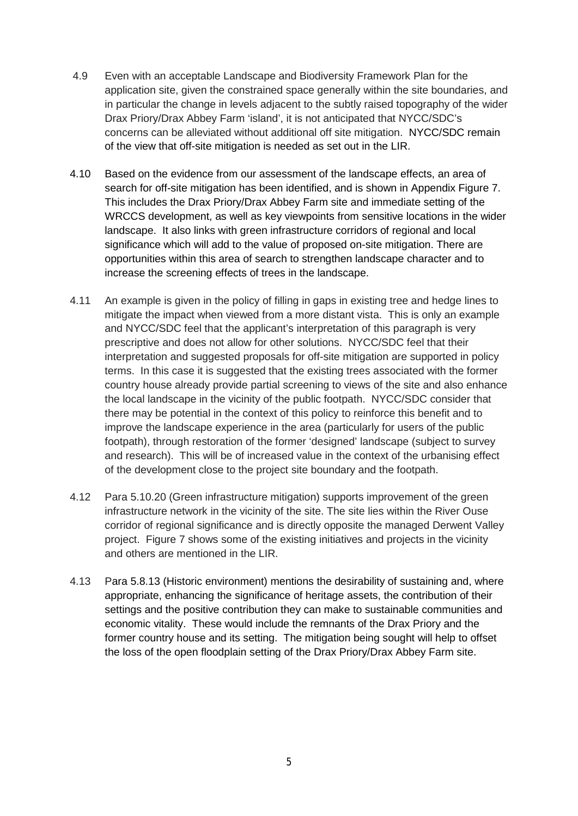- 4.9 Even with an acceptable Landscape and Biodiversity Framework Plan for the application site, given the constrained space generally within the site boundaries, and in particular the change in levels adjacent to the subtly raised topography of the wider Drax Priory/Drax Abbey Farm 'island', it is not anticipated that NYCC/SDC's concerns can be alleviated without additional off site mitigation. NYCC/SDC remain of the view that off-site mitigation is needed as set out in the LIR.
- 4.10 Based on the evidence from our assessment of the landscape effects, an area of search for off-site mitigation has been identified, and is shown in Appendix Figure 7. This includes the Drax Priory/Drax Abbey Farm site and immediate setting of the WRCCS development, as well as key viewpoints from sensitive locations in the wider landscape. It also links with green infrastructure corridors of regional and local significance which will add to the value of proposed on-site mitigation. There are opportunities within this area of search to strengthen landscape character and to increase the screening effects of trees in the landscape.
- 4.11 An example is given in the policy of filling in gaps in existing tree and hedge lines to mitigate the impact when viewed from a more distant vista. This is only an example and NYCC/SDC feel that the applicant's interpretation of this paragraph is very prescriptive and does not allow for other solutions. NYCC/SDC feel that their interpretation and suggested proposals for off-site mitigation are supported in policy terms. In this case it is suggested that the existing trees associated with the former country house already provide partial screening to views of the site and also enhance the local landscape in the vicinity of the public footpath. NYCC/SDC consider that there may be potential in the context of this policy to reinforce this benefit and to improve the landscape experience in the area (particularly for users of the public footpath), through restoration of the former 'designed' landscape (subject to survey and research). This will be of increased value in the context of the urbanising effect of the development close to the project site boundary and the footpath.
- 4.12 Para 5.10.20 (Green infrastructure mitigation) supports improvement of the green infrastructure network in the vicinity of the site. The site lies within the River Ouse corridor of regional significance and is directly opposite the managed Derwent Valley project. Figure 7 shows some of the existing initiatives and projects in the vicinity and others are mentioned in the LIR.
- 4.13 Para 5.8.13 (Historic environment) mentions the desirability of sustaining and, where appropriate, enhancing the significance of heritage assets, the contribution of their settings and the positive contribution they can make to sustainable communities and economic vitality. These would include the remnants of the Drax Priory and the former country house and its setting. The mitigation being sought will help to offset the loss of the open floodplain setting of the Drax Priory/Drax Abbey Farm site.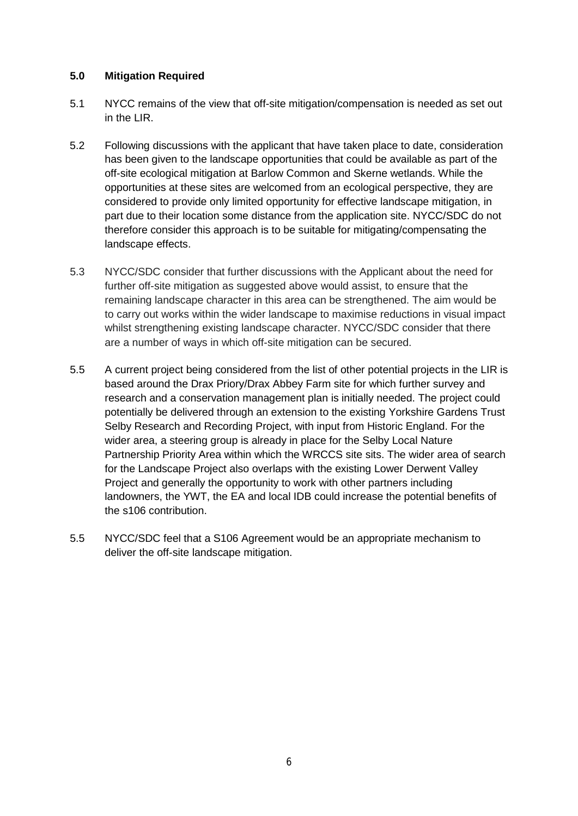#### **5.0 Mitigation Required**

- 5.1 NYCC remains of the view that off-site mitigation/compensation is needed as set out in the LIR.
- 5.2 Following discussions with the applicant that have taken place to date, consideration has been given to the landscape opportunities that could be available as part of the off-site ecological mitigation at Barlow Common and Skerne wetlands. While the opportunities at these sites are welcomed from an ecological perspective, they are considered to provide only limited opportunity for effective landscape mitigation, in part due to their location some distance from the application site. NYCC/SDC do not therefore consider this approach is to be suitable for mitigating/compensating the landscape effects.
- 5.3 NYCC/SDC consider that further discussions with the Applicant about the need for further off-site mitigation as suggested above would assist, to ensure that the remaining landscape character in this area can be strengthened. The aim would be to carry out works within the wider landscape to maximise reductions in visual impact whilst strengthening existing landscape character. NYCC/SDC consider that there are a number of ways in which off-site mitigation can be secured.
- 5.5 A current project being considered from the list of other potential projects in the LIR is based around the Drax Priory/Drax Abbey Farm site for which further survey and research and a conservation management plan is initially needed. The project could potentially be delivered through an extension to the existing Yorkshire Gardens Trust Selby Research and Recording Project, with input from Historic England. For the wider area, a steering group is already in place for the Selby Local Nature Partnership Priority Area within which the WRCCS site sits. The wider area of search for the Landscape Project also overlaps with the existing Lower Derwent Valley Project and generally the opportunity to work with other partners including landowners, the YWT, the EA and local IDB could increase the potential benefits of the s106 contribution.
- 5.5 NYCC/SDC feel that a S106 Agreement would be an appropriate mechanism to deliver the off-site landscape mitigation.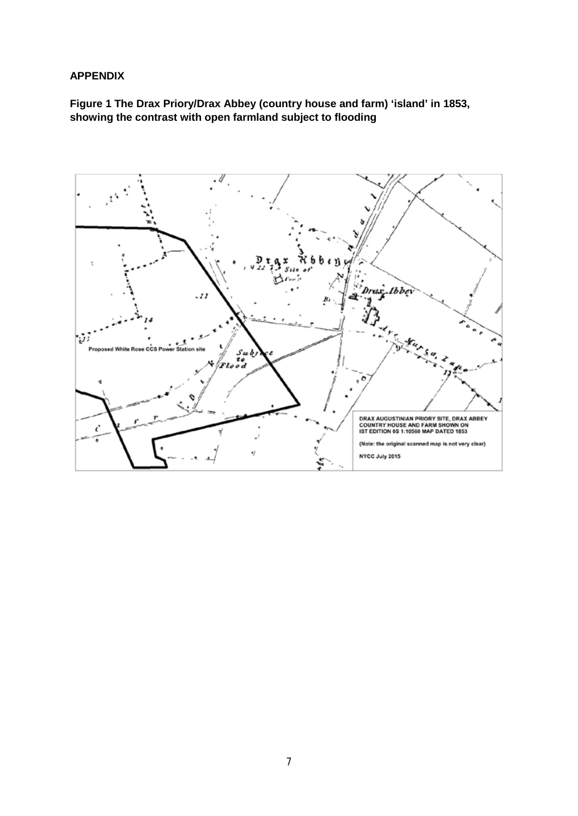#### **APPENDIX**

# **Figure 1 The Drax Priory/Drax Abbey (country house and farm) 'island' in 1853, showing the contrast with open farmland subject to flooding**

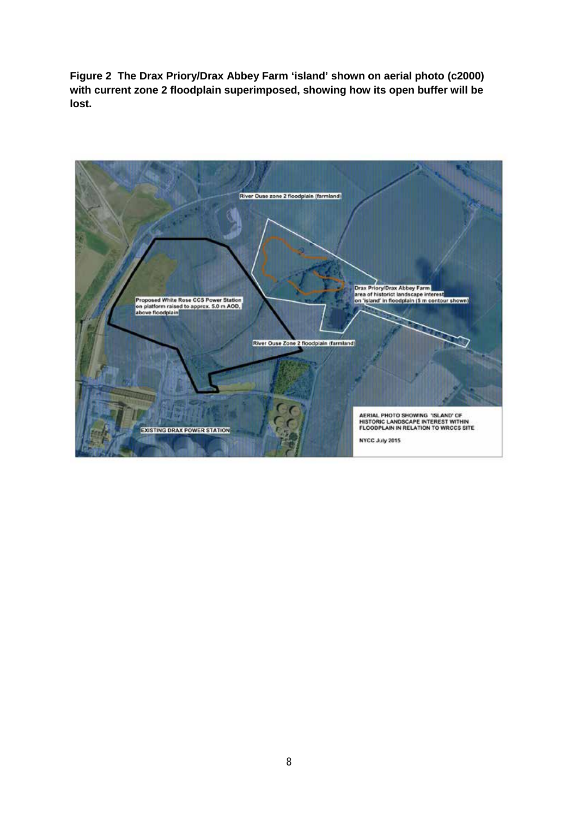**Figure 2 The Drax Priory/Drax Abbey Farm 'island' shown on aerial photo (c2000) with current zone 2 floodplain superimposed, showing how its open buffer will be lost.**

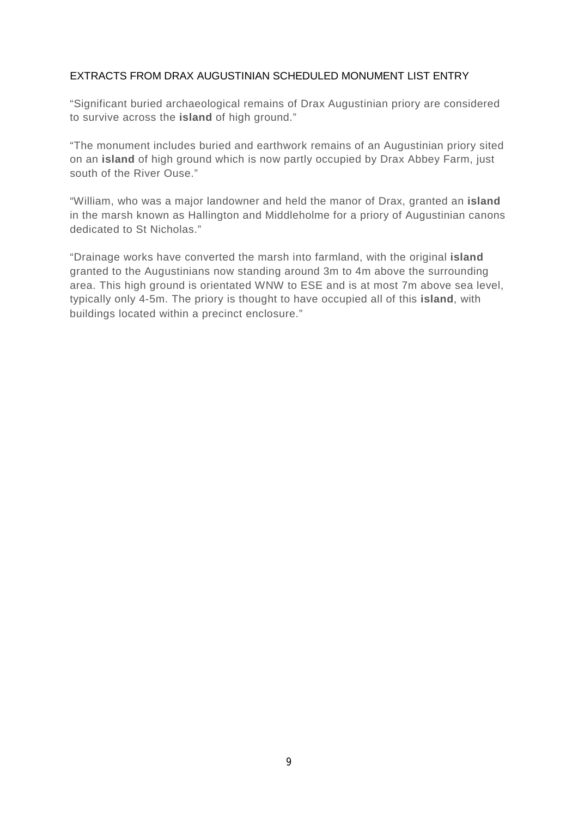#### EXTRACTS FROM DRAX AUGUSTINIAN SCHEDULED MONUMENT LIST ENTRY

"Significant buried archaeological remains of Drax Augustinian priory are considered to survive across the **island** of high ground."

"The monument includes buried and earthwork remains of an Augustinian priory sited on an **island** of high ground which is now partly occupied by Drax Abbey Farm, just south of the River Ouse."

"William, who was a major landowner and held the manor of Drax, granted an **island**  in the marsh known as Hallington and Middleholme for a priory of Augustinian canons dedicated to St Nicholas."

"Drainage works have converted the marsh into farmland, with the original **island**  granted to the Augustinians now standing around 3m to 4m above the surrounding area. This high ground is orientated WNW to ESE and is at most 7m above sea level, typically only 4-5m. The priory is thought to have occupied all of this **island**, with buildings located within a precinct enclosure."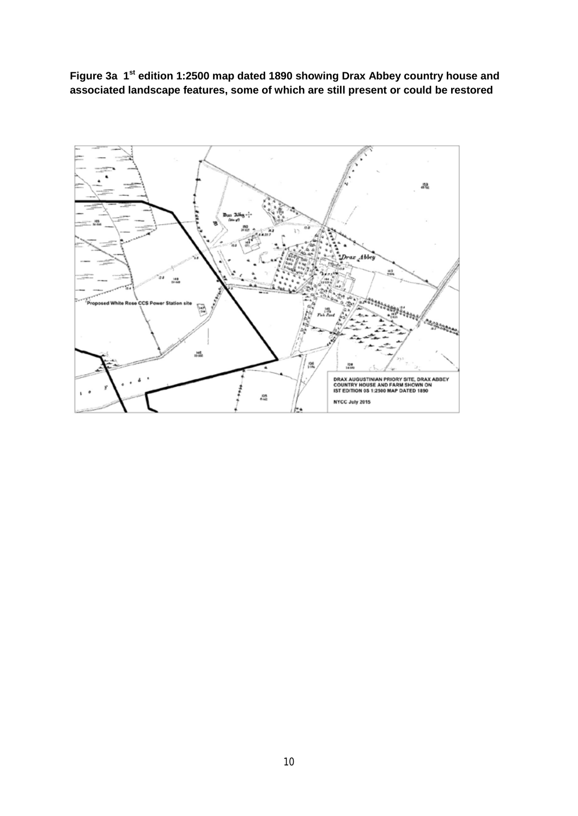**Figure 3a 1st edition 1:2500 map dated 1890 showing Drax Abbey country house and associated landscape features, some of which are still present or could be restored**

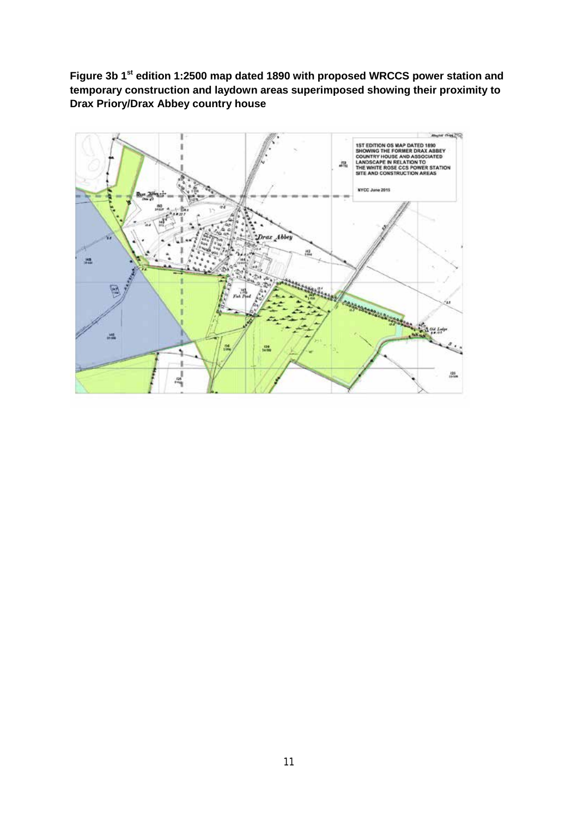Figure 3b 1<sup>st</sup> edition 1:2500 map dated 1890 with proposed WRCCS power station and **temporary construction and laydown areas superimposed showing their proximity to Drax Priory/Drax Abbey country house**

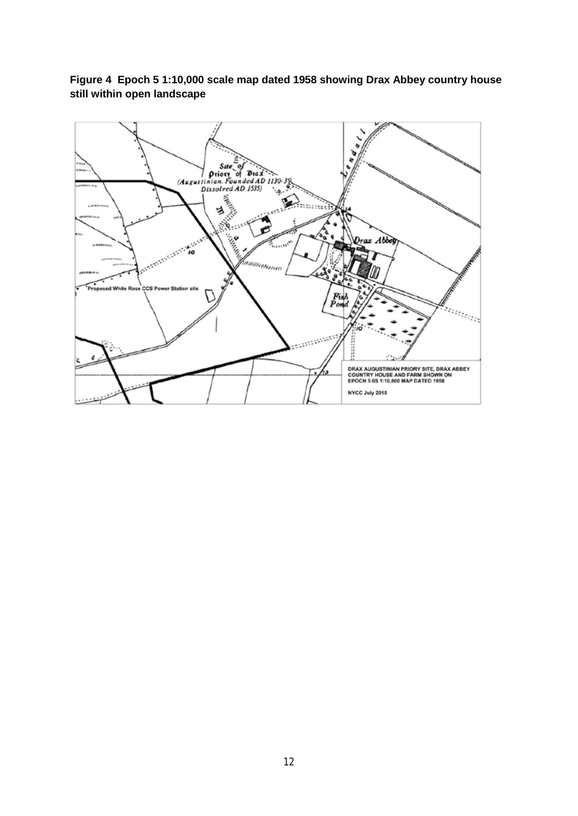**Figure 4 Epoch 5 1:10,000 scale map dated 1958 showing Drax Abbey country house still within open landscape** 

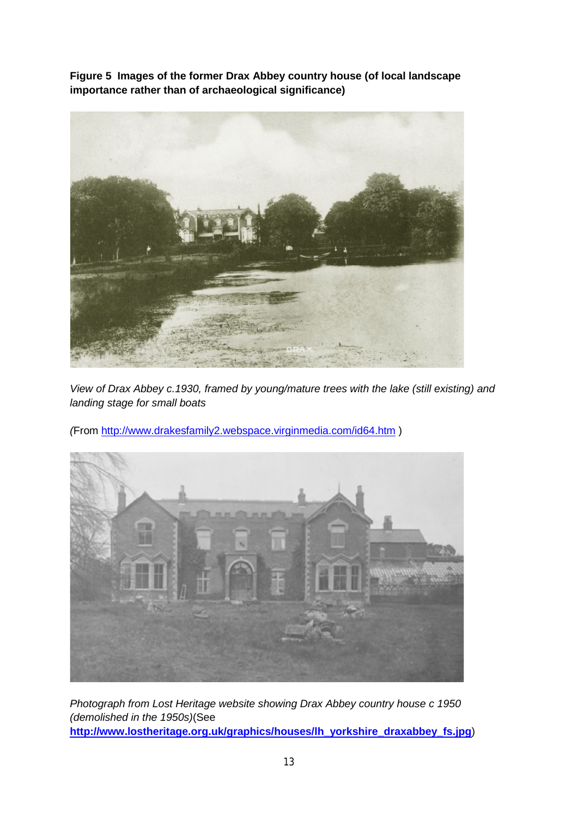**Figure 5 Images of the former Drax Abbey country house (of local landscape importance rather than of archaeological significance)**



*View of Drax Abbey c.1930, framed by young/mature trees with the lake (still existing) and landing stage for small boats*

*(*From<http://www.drakesfamily2.webspace.virginmedia.com/id64.htm> )



*Photograph from Lost Heritage website showing Drax Abbey country house c 1950 (demolished in the 1950s)*(See **[http://www.lostheritage.org.uk/graphics/houses/lh\\_yorkshire\\_draxabbey\\_fs.jpg](http://www.lostheritage.org.uk/graphics/houses/lh_yorkshire_draxabbey_fs.jpg)**)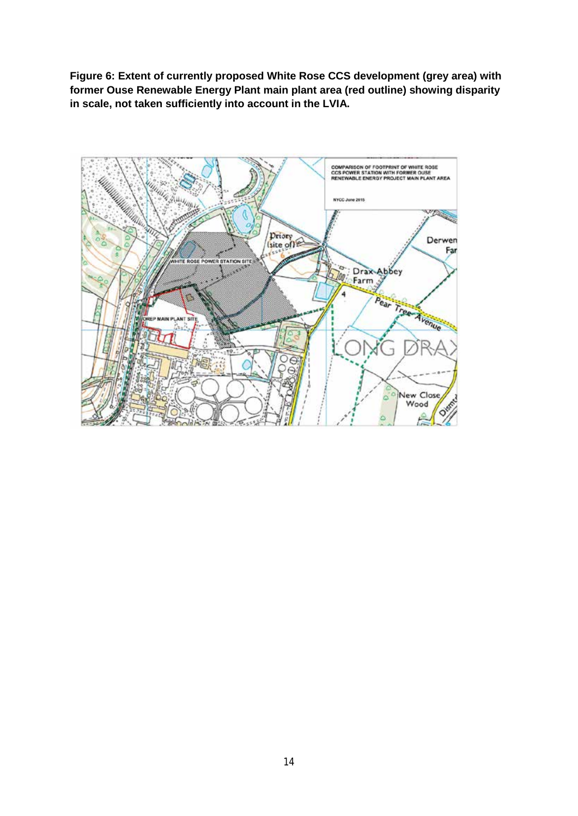**Figure 6: Extent of currently proposed White Rose CCS development (grey area) with former Ouse Renewable Energy Plant main plant area (red outline) showing disparity in scale, not taken sufficiently into account in the LVIA.**